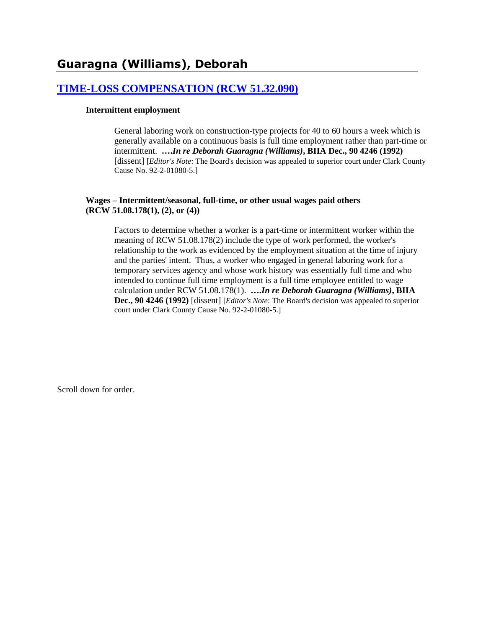# **[TIME-LOSS COMPENSATION \(RCW 51.32.090\)](http://www.biia.wa.gov/SDSubjectIndex.html#TIME_LOSS_COMPENSATION)**

#### **Intermittent employment**

General laboring work on construction-type projects for 40 to 60 hours a week which is generally available on a continuous basis is full time employment rather than part-time or intermittent. **….***In re Deborah Guaragna (Williams)***, BIIA Dec., 90 4246 (1992)**  [dissent] [*Editor's Note*: The Board's decision was appealed to superior court under Clark County Cause No. 92-2-01080-5.]

#### **Wages – Intermittent/seasonal, full-time, or other usual wages paid others (RCW 51.08.178(1), (2), or (4))**

Factors to determine whether a worker is a part-time or intermittent worker within the meaning of RCW 51.08.178(2) include the type of work performed, the worker's relationship to the work as evidenced by the employment situation at the time of injury and the parties' intent. Thus, a worker who engaged in general laboring work for a temporary services agency and whose work history was essentially full time and who intended to continue full time employment is a full time employee entitled to wage calculation under RCW 51.08.178(1). **….***In re Deborah Guaragna (Williams)***, BIIA Dec., 90 4246 (1992)** [dissent] [*Editor's Note*: The Board's decision was appealed to superior court under Clark County Cause No. 92-2-01080-5.]

Scroll down for order.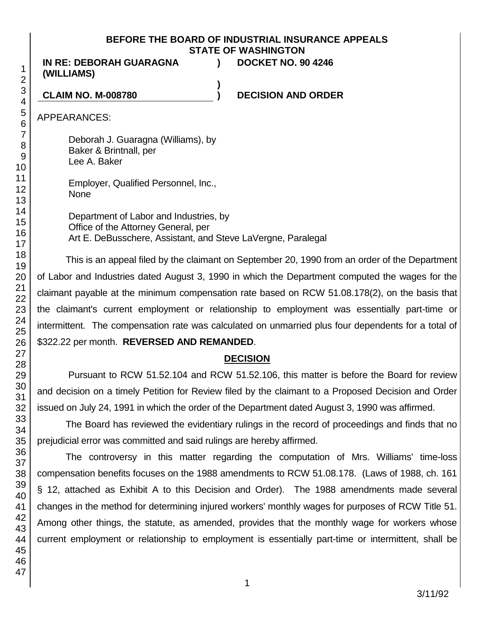## **BEFORE THE BOARD OF INDUSTRIAL INSURANCE APPEALS STATE OF WASHINGTON**

**)**

**IN RE: DEBORAH GUARAGNA (WILLIAMS)**

**) DOCKET NO. 90 4246**

**CLAIM NO. M-008780 ) DECISION AND ORDER**

APPEARANCES:

Deborah J. Guaragna (Williams), by Baker & Brintnall, per Lee A. Baker

Employer, Qualified Personnel, Inc., None

Department of Labor and Industries, by Office of the Attorney General, per Art E. DeBusschere, Assistant, and Steve LaVergne, Paralegal

This is an appeal filed by the claimant on September 20, 1990 from an order of the Department of Labor and Industries dated August 3, 1990 in which the Department computed the wages for the claimant payable at the minimum compensation rate based on RCW 51.08.178(2), on the basis that the claimant's current employment or relationship to employment was essentially part-time or intermittent. The compensation rate was calculated on unmarried plus four dependents for a total of \$322.22 per month. **REVERSED AND REMANDED**.

## **DECISION**

Pursuant to RCW 51.52.104 and RCW 51.52.106, this matter is before the Board for review and decision on a timely Petition for Review filed by the claimant to a Proposed Decision and Order issued on July 24, 1991 in which the order of the Department dated August 3, 1990 was affirmed.

The Board has reviewed the evidentiary rulings in the record of proceedings and finds that no prejudicial error was committed and said rulings are hereby affirmed.

The controversy in this matter regarding the computation of Mrs. Williams' time-loss compensation benefits focuses on the 1988 amendments to RCW 51.08.178. (Laws of 1988, ch. 161 § 12, attached as Exhibit A to this Decision and Order). The 1988 amendments made several changes in the method for determining injured workers' monthly wages for purposes of RCW Title 51. Among other things, the statute, as amended, provides that the monthly wage for workers whose current employment or relationship to employment is essentially part-time or intermittent, shall be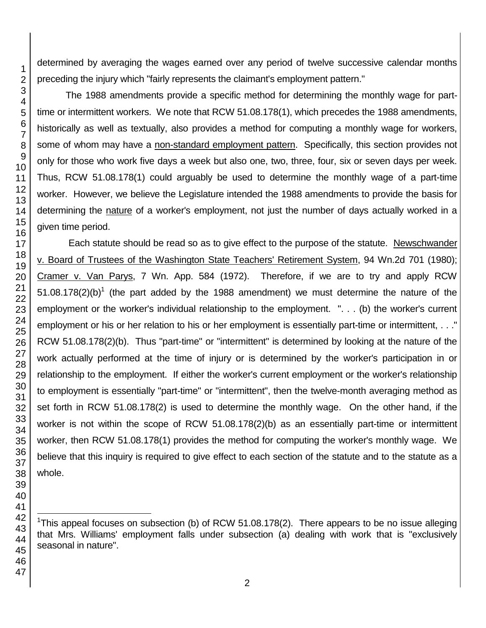determined by averaging the wages earned over any period of twelve successive calendar months preceding the injury which "fairly represents the claimant's employment pattern."

The 1988 amendments provide a specific method for determining the monthly wage for parttime or intermittent workers. We note that RCW 51.08.178(1), which precedes the 1988 amendments, historically as well as textually, also provides a method for computing a monthly wage for workers, some of whom may have a non-standard employment pattern. Specifically, this section provides not only for those who work five days a week but also one, two, three, four, six or seven days per week. Thus, RCW 51.08.178(1) could arguably be used to determine the monthly wage of a part-time worker. However, we believe the Legislature intended the 1988 amendments to provide the basis for determining the nature of a worker's employment, not just the number of days actually worked in a given time period.

Each statute should be read so as to give effect to the purpose of the statute. Newschwander v. Board of Trustees of the Washington State Teachers' Retirement System, 94 Wn.2d 701 (1980); Cramer v. Van Parys, 7 Wn. App. 584 (1972). Therefore, if we are to try and apply RCW  $51.08.178(2)$ (b)<sup>1</sup> (the part added by the 1988 amendment) we must determine the nature of the employment or the worker's individual relationship to the employment. ". . . (b) the worker's current employment or his or her relation to his or her employment is essentially part-time or intermittent, . . ." RCW 51.08.178(2)(b). Thus "part-time" or "intermittent" is determined by looking at the nature of the work actually performed at the time of injury or is determined by the worker's participation in or relationship to the employment. If either the worker's current employment or the worker's relationship to employment is essentially "part-time" or "intermittent", then the twelve-month averaging method as set forth in RCW 51.08.178(2) is used to determine the monthly wage. On the other hand, if the worker is not within the scope of RCW 51.08.178(2)(b) as an essentially part-time or intermittent worker, then RCW 51.08.178(1) provides the method for computing the worker's monthly wage. We believe that this inquiry is required to give effect to each section of the statute and to the statute as a whole.

l <sup>1</sup>This appeal focuses on subsection (b) of RCW 51.08.178(2). There appears to be no issue alleging that Mrs. Williams' employment falls under subsection (a) dealing with work that is "exclusively seasonal in nature".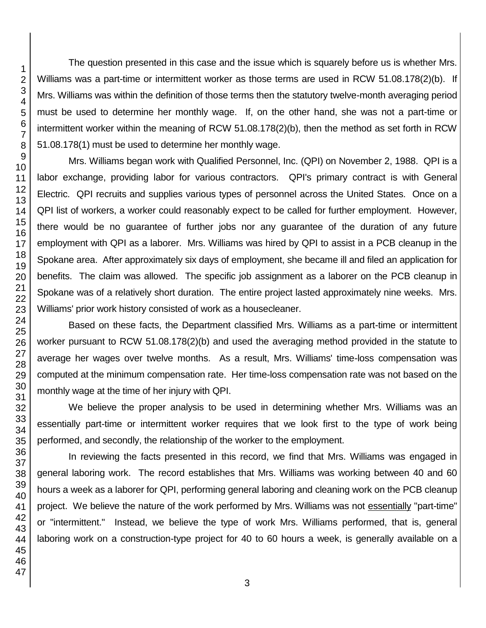The question presented in this case and the issue which is squarely before us is whether Mrs. Williams was a part-time or intermittent worker as those terms are used in RCW 51.08.178(2)(b). If Mrs. Williams was within the definition of those terms then the statutory twelve-month averaging period must be used to determine her monthly wage. If, on the other hand, she was not a part-time or intermittent worker within the meaning of RCW 51.08.178(2)(b), then the method as set forth in RCW 51.08.178(1) must be used to determine her monthly wage.

Mrs. Williams began work with Qualified Personnel, Inc. (QPI) on November 2, 1988. QPI is a labor exchange, providing labor for various contractors. QPI's primary contract is with General Electric. QPI recruits and supplies various types of personnel across the United States. Once on a QPI list of workers, a worker could reasonably expect to be called for further employment. However, there would be no guarantee of further jobs nor any guarantee of the duration of any future employment with QPI as a laborer. Mrs. Williams was hired by QPI to assist in a PCB cleanup in the Spokane area. After approximately six days of employment, she became ill and filed an application for benefits. The claim was allowed. The specific job assignment as a laborer on the PCB cleanup in Spokane was of a relatively short duration. The entire project lasted approximately nine weeks. Mrs. Williams' prior work history consisted of work as a housecleaner.

Based on these facts, the Department classified Mrs. Williams as a part-time or intermittent worker pursuant to RCW 51.08.178(2)(b) and used the averaging method provided in the statute to average her wages over twelve months. As a result, Mrs. Williams' time-loss compensation was computed at the minimum compensation rate. Her time-loss compensation rate was not based on the monthly wage at the time of her injury with QPI.

We believe the proper analysis to be used in determining whether Mrs. Williams was an essentially part-time or intermittent worker requires that we look first to the type of work being performed, and secondly, the relationship of the worker to the employment.

In reviewing the facts presented in this record, we find that Mrs. Williams was engaged in general laboring work. The record establishes that Mrs. Williams was working between 40 and 60 hours a week as a laborer for QPI, performing general laboring and cleaning work on the PCB cleanup project. We believe the nature of the work performed by Mrs. Williams was not essentially "part-time" or "intermittent." Instead, we believe the type of work Mrs. Williams performed, that is, general laboring work on a construction-type project for 40 to 60 hours a week, is generally available on a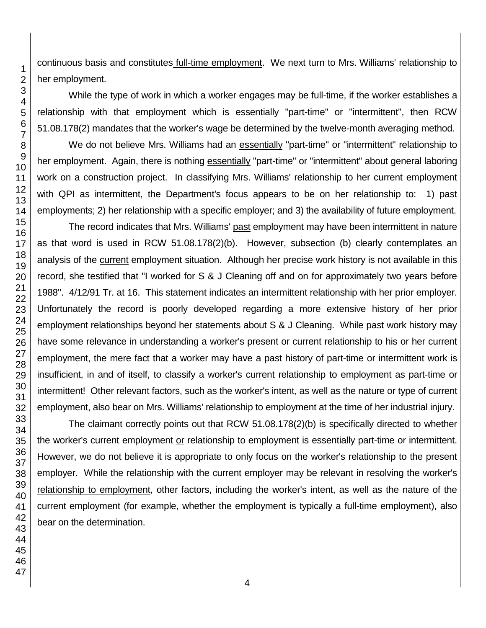continuous basis and constitutes full-time employment. We next turn to Mrs. Williams' relationship to her employment.

While the type of work in which a worker engages may be full-time, if the worker establishes a relationship with that employment which is essentially "part-time" or "intermittent", then RCW 51.08.178(2) mandates that the worker's wage be determined by the twelve-month averaging method.

We do not believe Mrs. Williams had an essentially "part-time" or "intermittent" relationship to her employment. Again, there is nothing essentially "part-time" or "intermittent" about general laboring work on a construction project. In classifying Mrs. Williams' relationship to her current employment with QPI as intermittent, the Department's focus appears to be on her relationship to: 1) past employments; 2) her relationship with a specific employer; and 3) the availability of future employment.

The record indicates that Mrs. Williams' past employment may have been intermittent in nature as that word is used in RCW 51.08.178(2)(b). However, subsection (b) clearly contemplates an analysis of the current employment situation. Although her precise work history is not available in this record, she testified that "I worked for S & J Cleaning off and on for approximately two years before 1988". 4/12/91 Tr. at 16. This statement indicates an intermittent relationship with her prior employer. Unfortunately the record is poorly developed regarding a more extensive history of her prior employment relationships beyond her statements about S & J Cleaning. While past work history may have some relevance in understanding a worker's present or current relationship to his or her current employment, the mere fact that a worker may have a past history of part-time or intermittent work is insufficient, in and of itself, to classify a worker's current relationship to employment as part-time or intermittent! Other relevant factors, such as the worker's intent, as well as the nature or type of current employment, also bear on Mrs. Williams' relationship to employment at the time of her industrial injury.

The claimant correctly points out that RCW 51.08.178(2)(b) is specifically directed to whether the worker's current employment or relationship to employment is essentially part-time or intermittent. However, we do not believe it is appropriate to only focus on the worker's relationship to the present employer. While the relationship with the current employer may be relevant in resolving the worker's relationship to employment, other factors, including the worker's intent, as well as the nature of the current employment (for example, whether the employment is typically a full-time employment), also bear on the determination.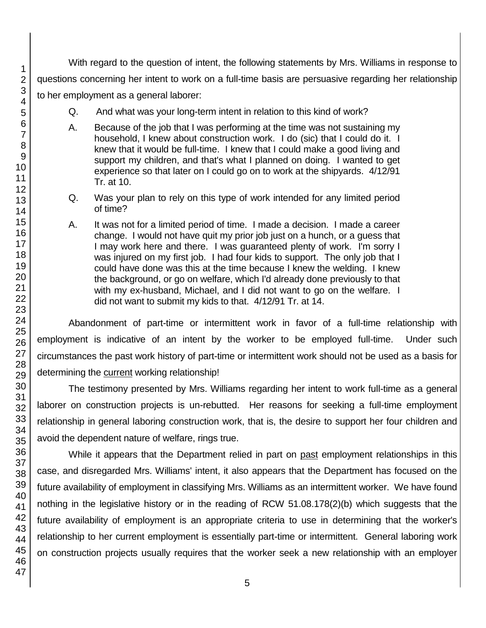With regard to the question of intent, the following statements by Mrs. Williams in response to questions concerning her intent to work on a full-time basis are persuasive regarding her relationship to her employment as a general laborer:

- Q. And what was your long-term intent in relation to this kind of work?
- A. Because of the job that I was performing at the time was not sustaining my household, I knew about construction work. I do (sic) that I could do it. I knew that it would be full-time. I knew that I could make a good living and support my children, and that's what I planned on doing. I wanted to get experience so that later on I could go on to work at the shipyards. 4/12/91 Tr. at 10.
- Q. Was your plan to rely on this type of work intended for any limited period of time?
- A. It was not for a limited period of time. I made a decision. I made a career change. I would not have quit my prior job just on a hunch, or a guess that I may work here and there. I was guaranteed plenty of work. I'm sorry I was injured on my first job. I had four kids to support. The only job that I could have done was this at the time because I knew the welding. I knew the background, or go on welfare, which I'd already done previously to that with my ex-husband, Michael, and I did not want to go on the welfare. I did not want to submit my kids to that. 4/12/91 Tr. at 14.

Abandonment of part-time or intermittent work in favor of a full-time relationship with employment is indicative of an intent by the worker to be employed full-time. Under such circumstances the past work history of part-time or intermittent work should not be used as a basis for determining the current working relationship!

The testimony presented by Mrs. Williams regarding her intent to work full-time as a general laborer on construction projects is un-rebutted. Her reasons for seeking a full-time employment relationship in general laboring construction work, that is, the desire to support her four children and avoid the dependent nature of welfare, rings true.

While it appears that the Department relied in part on past employment relationships in this case, and disregarded Mrs. Williams' intent, it also appears that the Department has focused on the future availability of employment in classifying Mrs. Williams as an intermittent worker. We have found nothing in the legislative history or in the reading of RCW 51.08.178(2)(b) which suggests that the future availability of employment is an appropriate criteria to use in determining that the worker's relationship to her current employment is essentially part-time or intermittent. General laboring work on construction projects usually requires that the worker seek a new relationship with an employer

1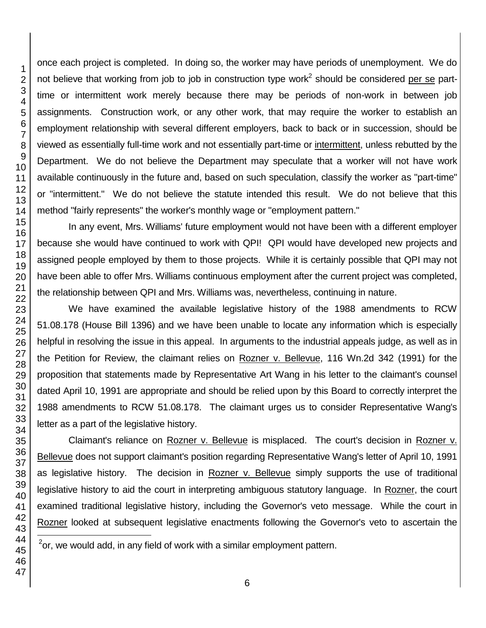once each project is completed. In doing so, the worker may have periods of unemployment. We do not believe that working from job to job in construction type work<sup>2</sup> should be considered <u>per se</u> parttime or intermittent work merely because there may be periods of non-work in between job assignments. Construction work, or any other work, that may require the worker to establish an employment relationship with several different employers, back to back or in succession, should be viewed as essentially full-time work and not essentially part-time or intermittent, unless rebutted by the Department. We do not believe the Department may speculate that a worker will not have work available continuously in the future and, based on such speculation, classify the worker as "part-time" or "intermittent." We do not believe the statute intended this result. We do not believe that this method "fairly represents" the worker's monthly wage or "employment pattern."

In any event, Mrs. Williams' future employment would not have been with a different employer because she would have continued to work with QPI! QPI would have developed new projects and assigned people employed by them to those projects. While it is certainly possible that QPI may not have been able to offer Mrs. Williams continuous employment after the current project was completed, the relationship between QPI and Mrs. Williams was, nevertheless, continuing in nature.

We have examined the available legislative history of the 1988 amendments to RCW 51.08.178 (House Bill 1396) and we have been unable to locate any information which is especially helpful in resolving the issue in this appeal. In arguments to the industrial appeals judge, as well as in the Petition for Review, the claimant relies on Rozner v. Bellevue, 116 Wn.2d 342 (1991) for the proposition that statements made by Representative Art Wang in his letter to the claimant's counsel dated April 10, 1991 are appropriate and should be relied upon by this Board to correctly interpret the 1988 amendments to RCW 51.08.178. The claimant urges us to consider Representative Wang's letter as a part of the legislative history.

Claimant's reliance on Rozner v. Bellevue is misplaced. The court's decision in Rozner v. Bellevue does not support claimant's position regarding Representative Wang's letter of April 10, 1991 as legislative history. The decision in Rozner v. Bellevue simply supports the use of traditional legislative history to aid the court in interpreting ambiguous statutory language. In Rozner, the court examined traditional legislative history, including the Governor's veto message. While the court in Rozner looked at subsequent legislative enactments following the Governor's veto to ascertain the

2 or, we would add, in any field of work with a similar employment pattern.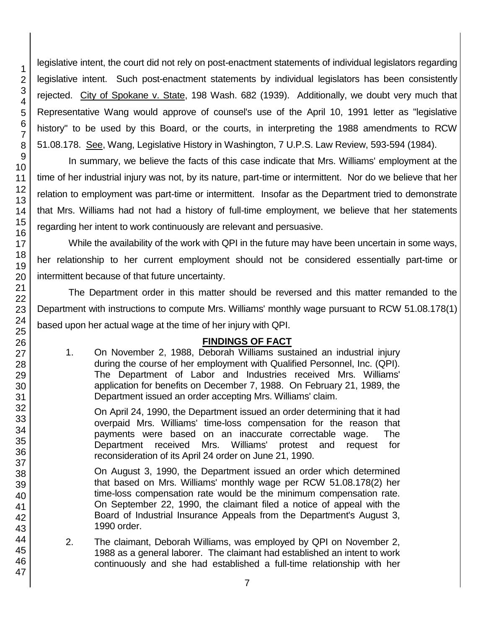legislative intent, the court did not rely on post-enactment statements of individual legislators regarding legislative intent. Such post-enactment statements by individual legislators has been consistently rejected. City of Spokane v. State, 198 Wash. 682 (1939). Additionally, we doubt very much that Representative Wang would approve of counsel's use of the April 10, 1991 letter as "legislative history" to be used by this Board, or the courts, in interpreting the 1988 amendments to RCW 51.08.178. See, Wang, Legislative History in Washington, 7 U.P.S. Law Review, 593-594 (1984).

In summary, we believe the facts of this case indicate that Mrs. Williams' employment at the time of her industrial injury was not, by its nature, part-time or intermittent. Nor do we believe that her relation to employment was part-time or intermittent. Insofar as the Department tried to demonstrate that Mrs. Williams had not had a history of full-time employment, we believe that her statements regarding her intent to work continuously are relevant and persuasive.

While the availability of the work with QPI in the future may have been uncertain in some ways, her relationship to her current employment should not be considered essentially part-time or intermittent because of that future uncertainty.

The Department order in this matter should be reversed and this matter remanded to the Department with instructions to compute Mrs. Williams' monthly wage pursuant to RCW 51.08.178(1) based upon her actual wage at the time of her injury with QPI.

# **FINDINGS OF FACT**

1. On November 2, 1988, Deborah Williams sustained an industrial injury during the course of her employment with Qualified Personnel, Inc. (QPI). The Department of Labor and Industries received Mrs. Williams' application for benefits on December 7, 1988. On February 21, 1989, the Department issued an order accepting Mrs. Williams' claim.

On April 24, 1990, the Department issued an order determining that it had overpaid Mrs. Williams' time-loss compensation for the reason that payments were based on an inaccurate correctable wage. The Department received Mrs. Williams' protest and request for reconsideration of its April 24 order on June 21, 1990.

On August 3, 1990, the Department issued an order which determined that based on Mrs. Williams' monthly wage per RCW 51.08.178(2) her time-loss compensation rate would be the minimum compensation rate. On September 22, 1990, the claimant filed a notice of appeal with the Board of Industrial Insurance Appeals from the Department's August 3, 1990 order.

2. The claimant, Deborah Williams, was employed by QPI on November 2, 1988 as a general laborer. The claimant had established an intent to work continuously and she had established a full-time relationship with her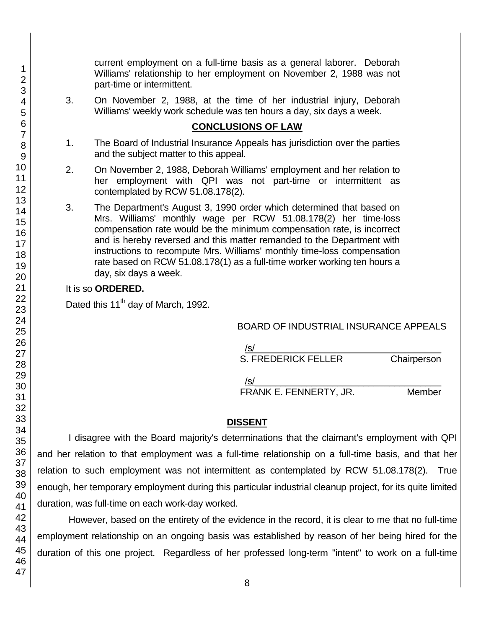current employment on a full-time basis as a general laborer. Deborah Williams' relationship to her employment on November 2, 1988 was not part-time or intermittent.

3. On November 2, 1988, at the time of her industrial injury, Deborah Williams' weekly work schedule was ten hours a day, six days a week.

#### **CONCLUSIONS OF LAW**

- 1. The Board of Industrial Insurance Appeals has jurisdiction over the parties and the subject matter to this appeal.
- 2. On November 2, 1988, Deborah Williams' employment and her relation to her employment with QPI was not part-time or intermittent as contemplated by RCW 51.08.178(2).
- 3. The Department's August 3, 1990 order which determined that based on Mrs. Williams' monthly wage per RCW 51.08.178(2) her time-loss compensation rate would be the minimum compensation rate, is incorrect and is hereby reversed and this matter remanded to the Department with instructions to recompute Mrs. Williams' monthly time-loss compensation rate based on RCW 51.08.178(1) as a full-time worker working ten hours a day, six days a week.

#### It is so **ORDERED.**

Dated this 11<sup>th</sup> day of March, 1992.

BOARD OF INDUSTRIAL INSURANCE APPEALS

/s/  $\,$ 

S. FREDERICK FELLER Chairperson

 $/$ s/ $\sim$ FRANK E. FENNERTY, JR. Member

## **DISSENT**

I disagree with the Board majority's determinations that the claimant's employment with QPI and her relation to that employment was a full-time relationship on a full-time basis, and that her relation to such employment was not intermittent as contemplated by RCW 51.08.178(2). True enough, her temporary employment during this particular industrial cleanup project, for its quite limited duration, was full-time on each work-day worked.

However, based on the entirety of the evidence in the record, it is clear to me that no full-time employment relationship on an ongoing basis was established by reason of her being hired for the duration of this one project. Regardless of her professed long-term "intent" to work on a full-time